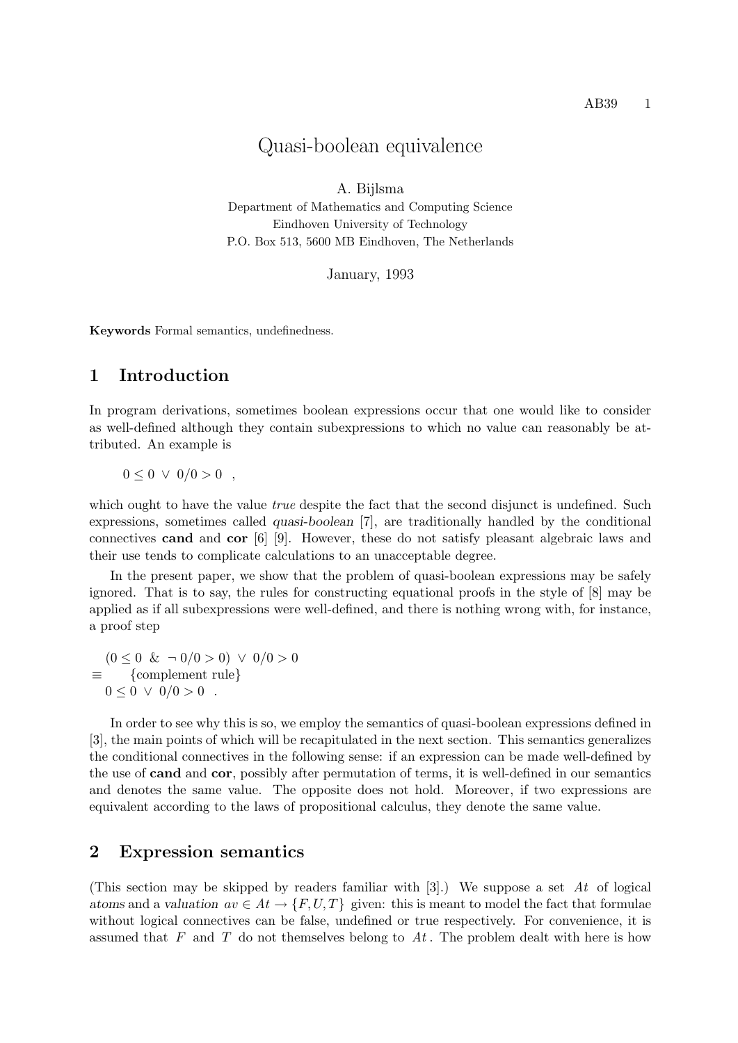# Quasi-boolean equivalence

A. Bijlsma Department of Mathematics and Computing Science Eindhoven University of Technology P.O. Box 513, 5600 MB Eindhoven, The Netherlands

January, 1993

Keywords Formal semantics, undefinedness.

#### 1 Introduction

In program derivations, sometimes boolean expressions occur that one would like to consider as well-defined although they contain subexpressions to which no value can reasonably be attributed. An example is

 $0 \leq 0 \vee 0/0 > 0$ 

which ought to have the value *true* despite the fact that the second disjunct is undefined. Such expressions, sometimes called quasi-boolean [7], are traditionally handled by the conditional connectives cand and cor [6] [9]. However, these do not satisfy pleasant algebraic laws and their use tends to complicate calculations to an unacceptable degree.

In the present paper, we show that the problem of quasi-boolean expressions may be safely ignored. That is to say, the rules for constructing equational proofs in the style of [8] may be applied as if all subexpressions were well-defined, and there is nothing wrong with, for instance, a proof step

 $(0 \le 0 \& \neg 0/0 > 0) \lor 0/0 > 0$ ≡ {complement rule}  $0 \le 0 \vee 0/0 > 0$ .

In order to see why this is so, we employ the semantics of quasi-boolean expressions defined in [3], the main points of which will be recapitulated in the next section. This semantics generalizes the conditional connectives in the following sense: if an expression can be made well-defined by the use of cand and cor, possibly after permutation of terms, it is well-defined in our semantics and denotes the same value. The opposite does not hold. Moreover, if two expressions are equivalent according to the laws of propositional calculus, they denote the same value.

#### 2 Expression semantics

(This section may be skipped by readers familiar with  $[3]$ .) We suppose a set At of logical atoms and a valuation  $av \in At \to \{F, U, T\}$  given: this is meant to model the fact that formulae without logical connectives can be false, undefined or true respectively. For convenience, it is assumed that F and T do not themselves belong to  $At$ . The problem dealt with here is how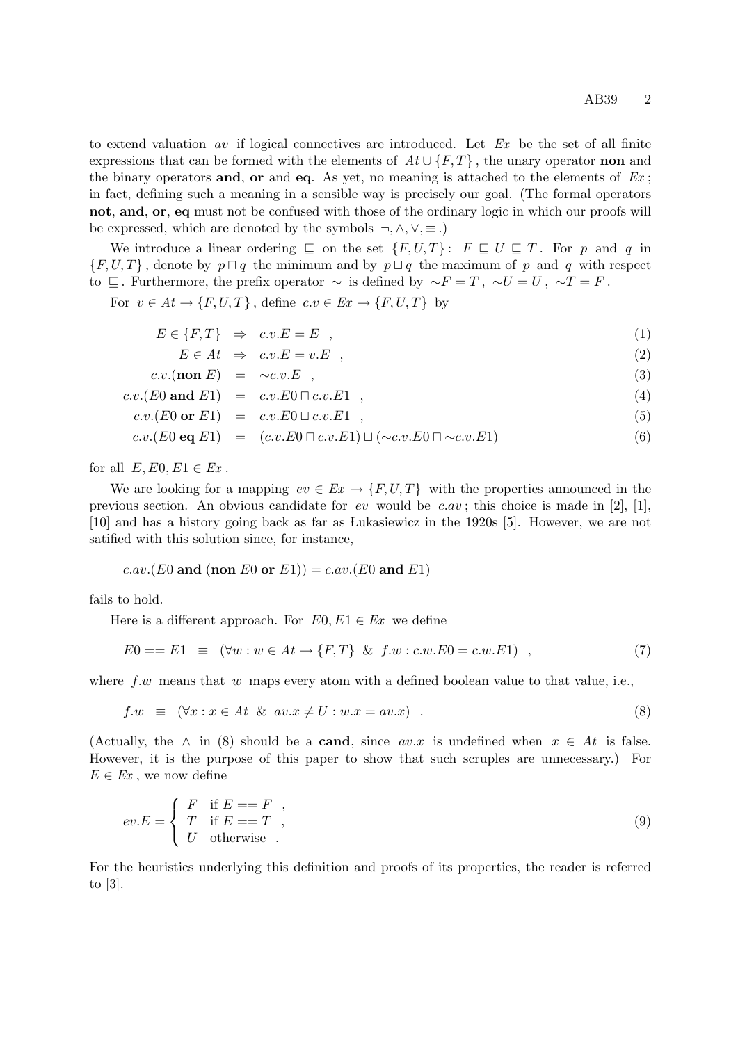to extend valuation  $av$  if logical connectives are introduced. Let  $Ex$  be the set of all finite expressions that can be formed with the elements of  $At \cup \{F,T\}$ , the unary operator non and the binary operators and, or and eq. As yet, no meaning is attached to the elements of  $Ex$ ; in fact, defining such a meaning in a sensible way is precisely our goal. (The formal operators not, and, or, eq must not be confused with those of the ordinary logic in which our proofs will be expressed, which are denoted by the symbols  $\neg, \wedge, \vee, \equiv$ .)

We introduce a linear ordering  $\Box$  on the set  $\{F, U, T\}$ :  $F \Box U \Box T$ . For p and q in  ${F, U, T}$ , denote by  $p \sqcap q$  the minimum and by  $p \sqcup q$  the maximum of p and q with respect to  $\subseteq$ . Furthermore, the prefix operator ∼ is defined by ∼F = T, ∼U = U, ∼T = F.

For  $v \in At \to \{F, U, T\}$ , define  $c.v \in Ex \to \{F, U, T\}$  by

$$
E \in \{F, T\} \Rightarrow c.v.E = E \quad , \tag{1}
$$

 $E \in At \Rightarrow c.v.E = v.E$ , (2)

$$
c.v.(\textbf{non } E) = \sim c.v.E , \qquad (3)
$$

$$
c.v.(E0 \text{ and } E1) = c.v.E0 \sqcap c.v.E1 , \qquad (4)
$$

$$
c.v.(E0 \text{ or } E1) = c.v.E0 \sqcup c.v.E1 , \qquad (5)
$$

$$
c.v.(E0 \text{ eq } E1) = (c.v.E0 \sqcap c.v.E1) \sqcup (\sim c.v.E0 \sqcap \sim c.v.E1) \tag{6}
$$

for all  $E, E0, E1 \in Ex$ .

We are looking for a mapping  $ev \in Ex \to \{F, U, T\}$  with the properties announced in the previous section. An obvious candidate for ev would be  $c.av$ ; this choice is made in [2], [1], [10] and has a history going back as far as Lukasiewicz in the 1920s [5]. However, we are not satified with this solution since, for instance,

c.av.(E0 and (non E0 or E1)) = c.av.(E0 and E1)

fails to hold.

Here is a different approach. For  $E0, E1 \in Ex$  we define

$$
E0 == E1 \equiv (\forall w : w \in At \to \{F, T\} \& f.w : c.w.E0 = c.w.E1), \qquad (7)
$$

where  $f.w$  means that w maps every atom with a defined boolean value to that value, i.e.,

$$
f.w \equiv (\forall x : x \in At \& av.x \neq U : w.x = av.x) . \tag{8}
$$

(Actually, the  $\wedge$  in (8) should be a **cand**, since  $av.x$  is undefined when  $x \in At$  is false. However, it is the purpose of this paper to show that such scruples are unnecessary.) For  $E \in Ex$ , we now define

$$
ev.E = \begin{cases} F & \text{if } E == F \\ T & \text{if } E == T \\ U & \text{otherwise} \end{cases},
$$
\n(9)

For the heuristics underlying this definition and proofs of its properties, the reader is referred to [3].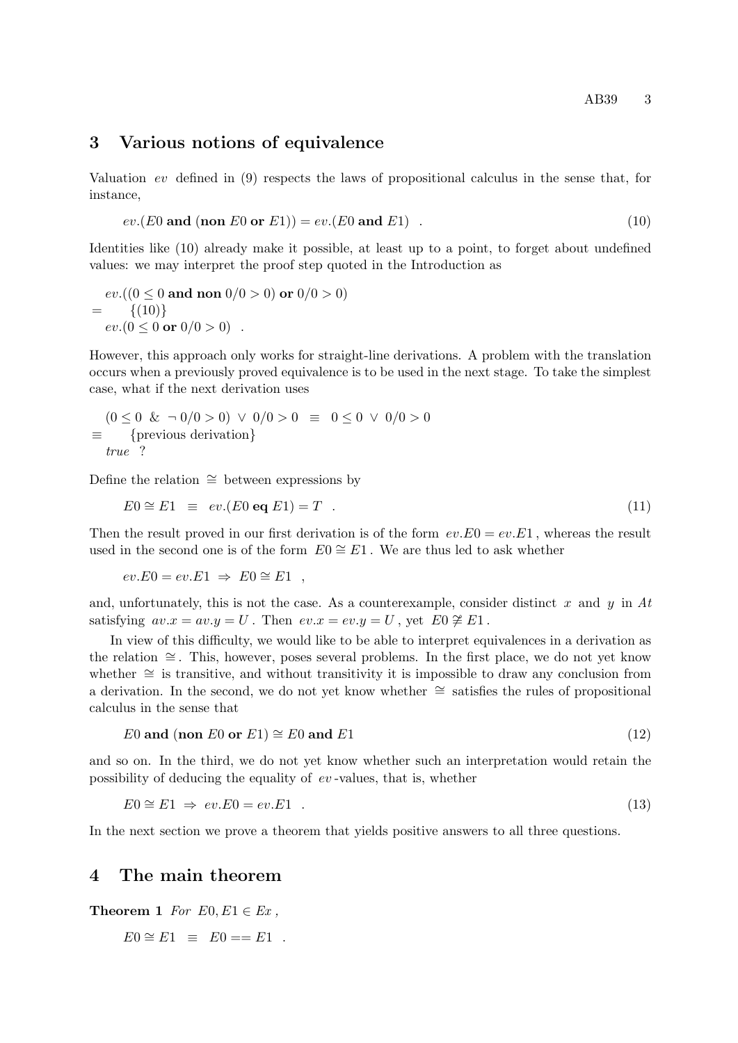#### 3 Various notions of equivalence

Valuation ev defined in (9) respects the laws of propositional calculus in the sense that, for instance,

$$
ev.(E0 \text{ and } (non E0 \text{ or } E1)) = ev.(E0 \text{ and } E1)
$$
 (10)

Identities like (10) already make it possible, at least up to a point, to forget about undefined values: we may interpret the proof step quoted in the Introduction as

$$
ev.((0 \le 0 \text{ and non } 0/0 > 0) \text{ or } 0/0 > 0)
$$
  
= {(10)}  

$$
ev.(0 \le 0 \text{ or } 0/0 > 0) .
$$

However, this approach only works for straight-line derivations. A problem with the translation occurs when a previously proved equivalence is to be used in the next stage. To take the simplest case, what if the next derivation uses

$$
\begin{array}{rcl}\n(0 \leq 0 \ \& \neg \ 0/0 > 0) \ \lor \ 0/0 > 0 \ \equiv \ 0 \leq 0 \ \lor \ 0/0 > 0 \\
\equiv \text{ \{previous derivation}\} \\
true \end{array}
$$

Define the relation ∼= between expressions by

$$
E0 \cong E1 \equiv ev.(E0 \text{ eq } E1) = T \quad . \tag{11}
$$

Then the result proved in our first derivation is of the form  $ev.E0 = ev.E1$ , whereas the result used in the second one is of the form  $E_0 \cong E_1$ . We are thus led to ask whether

$$
ev.E0 = ev.E1 \Rightarrow E0 \cong E1 ,
$$

and, unfortunately, this is not the case. As a counterexample, consider distinct x and y in At satisfying  $av.x = av.y = U$ . Then  $ev.x = ev.y = U$ , yet  $E0 \not\cong E1$ .

In view of this difficulty, we would like to be able to interpret equivalences in a derivation as the relation ∼= . This, however, poses several problems. In the first place, we do not yet know whether ∼= is transitive, and without transitivity it is impossible to draw any conclusion from a derivation. In the second, we do not yet know whether ∼= satisfies the rules of propositional calculus in the sense that

$$
E0 \text{ and } (\text{non } E0 \text{ or } E1) \cong E0 \text{ and } E1 \tag{12}
$$

and so on. In the third, we do not yet know whether such an interpretation would retain the possibility of deducing the equality of ev -values, that is, whether

$$
E0 \cong E1 \implies ev.E0 = ev.E1 \tag{13}
$$

In the next section we prove a theorem that yields positive answers to all three questions.

#### 4 The main theorem

Theorem 1 For  $E0, E1 \in Ex$ ,

 $E0 \cong E1 \equiv E0 == E1$ .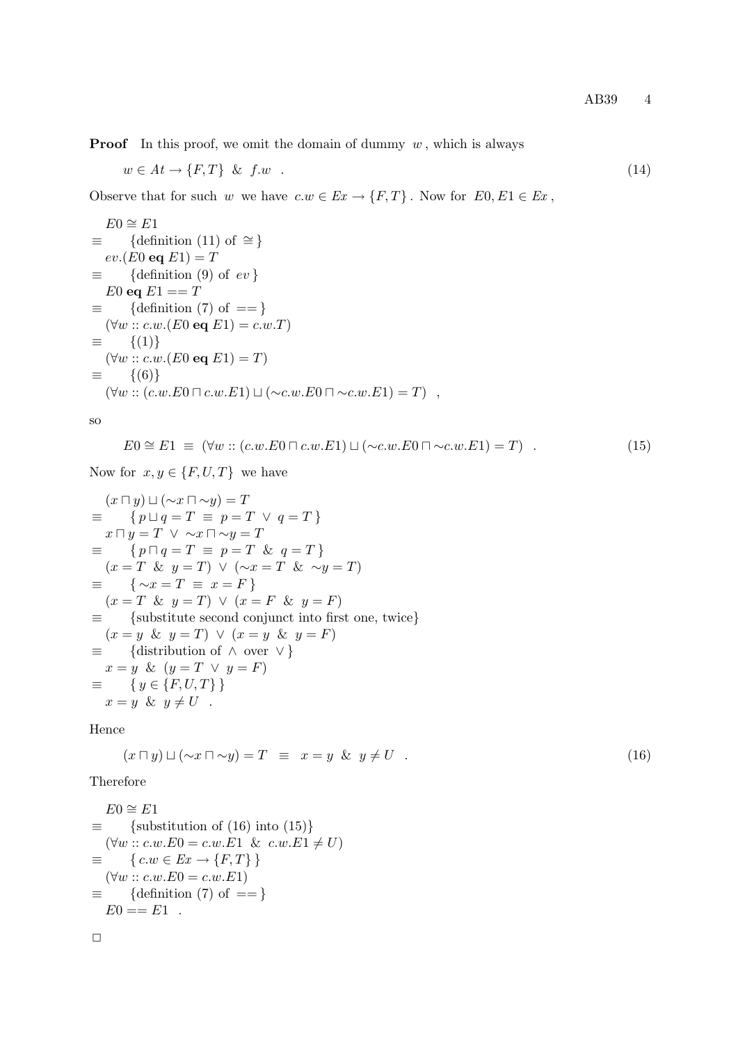**Proof** In this proof, we omit the domain of dummy  $w$ , which is always

$$
w \in At \to \{F, T\} \& f.w . \tag{14}
$$

Observe that for such w we have  $c.w \in Ex \to \{F,T\}$ . Now for  $E0, E1 \in Ex$ ,

$$
E0 \cong E1
$$
  
\n
$$
\equiv \{ \text{definition } (11) \text{ of } \cong \}
$$
  
\n
$$
ev.(E0 \text{ eq } E1) = T
$$
  
\n
$$
\equiv \{ \text{definition } (9) \text{ of } ev \}
$$
  
\n
$$
E0 \text{ eq } E1 == T
$$
  
\n
$$
\equiv \{ \text{definition } (7) \text{ of } == \}
$$
  
\n
$$
(\forall w :: c.w.(E0 \text{ eq } E1) = c.w.T)
$$
  
\n
$$
\equiv \{ (1) \}
$$
  
\n
$$
(\forall w :: c.w.(E0 \text{ eq } E1) = T)
$$
  
\n
$$
\equiv \{ (6) \}
$$
  
\n
$$
(\forall w :: (c.w.E0 \sqcap c.w.E1) \sqcup (\sim c.w.E0 \sqcap \sim c.w.E1) = T) ,
$$

so

$$
E0 \cong E1 \equiv (\forall w :: (c.w.E0 \sqcap c.w.E1) \sqcup (\sim c.w.E0 \sqcap \sim c.w.E1) = T) . \tag{15}
$$

Now for  $x, y \in \{F, U, T\}$  we have

$$
(x \sqcap y) \sqcup (\sim x \sqcap \sim y) = T
$$
  
\n
$$
\equiv \{ p \sqcup q = T \equiv p = T \lor q = T \}
$$
  
\n
$$
x \sqcap y = T \lor \sim x \sqcap \sim y = T
$$
  
\n
$$
\equiv \{ p \sqcap q = T \equiv p = T \& q = T \}
$$
  
\n
$$
(x = T \& y = T) \lor (\sim x = T \& \sim y = T)
$$
  
\n
$$
\equiv \{ \sim x = T \equiv x = F \}
$$
  
\n
$$
(x = T \& y = T) \lor (x = F \& y = F)
$$
  
\n
$$
\equiv \{ \text{substitute second conjunct into first one, twice} \}
$$
  
\n
$$
(x = y \& y = T) \lor (x = y \& y = F)
$$
  
\n
$$
\equiv \{ \text{distribution of } \land \text{ over } \lor \}
$$
  
\n
$$
x = y \& (y = T \lor y = F)
$$
  
\n
$$
x = y \& y \neq U
$$

Hence

$$
(x \sqcap y) \sqcup (\sim x \sqcap \sim y) = T \equiv x = y \& y \neq U \quad . \tag{16}
$$

Therefore

```
E0 \cong E1\equiv {substitution of (16) into (15)}
  (\forall w :: c.w.E0 = c.w.E1 \& c.w.E1 \neq U)\equiv \{ c.w \in Ex \rightarrow \{F,T\} \}(\forall w :: c.w.E0 = c.w.E1)\equiv {definition (7) of == }
  E0 == E1.
```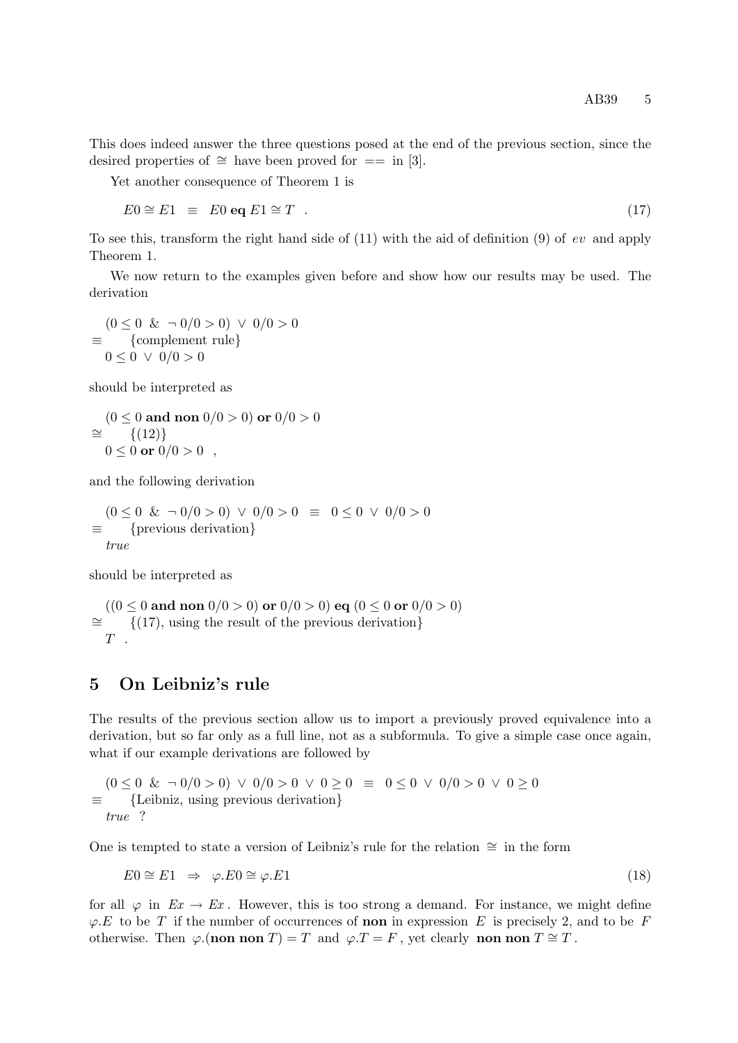This does indeed answer the three questions posed at the end of the previous section, since the desired properties of  $\cong$  have been proved for  $==$  in [3].

Yet another consequence of Theorem 1 is

$$
E0 \cong E1 \equiv E0 \text{ eq } E1 \cong T \quad . \tag{17}
$$

To see this, transform the right hand side of  $(11)$  with the aid of definition  $(9)$  of ev and apply Theorem 1.

We now return to the examples given before and show how our results may be used. The derivation

 $(0 \le 0 \& \neg 0/0 > 0) \lor 0/0 > 0$ ≡ {complement rule}  $0 \le 0 \vee 0/0 > 0$ 

should be interpreted as

$$
\begin{aligned} (0 &\le 0 \text{ and non } 0/0 > 0) \text{ or } 0/0 > 0 \\ &\cong \{ (12) \} \\ 0 &\le 0 \text{ or } 0/0 > 0 \end{aligned}
$$

and the following derivation

 $(0 \le 0 \& \neg 0/0 > 0) \lor 0/0 > 0 \equiv 0 \le 0 \lor 0/0 > 0$ ≡ {previous derivation} true

should be interpreted as

 $((0 \le 0 \text{ and non } 0/0 > 0) \text{ or } 0/0 > 0) \text{ eq } (0 \le 0 \text{ or } 0/0 > 0)$ ∼= {(17), using the result of the previous derivation}  $T$ 

## 5 On Leibniz's rule

The results of the previous section allow us to import a previously proved equivalence into a derivation, but so far only as a full line, not as a subformula. To give a simple case once again, what if our example derivations are followed by

 $(0 \le 0 \& \neg 0/0 > 0) \vee 0/0 > 0 \vee 0 \ge 0 \equiv 0 \le 0 \vee 0/0 > 0 \vee 0 \ge 0$ ≡ {Leibniz, using previous derivation} true ?

One is tempted to state a version of Leibniz's rule for the relation  $\cong$  in the form

$$
E0 \cong E1 \Rightarrow \varphi.E0 \cong \varphi.E1 \tag{18}
$$

for all  $\varphi$  in  $Ex \to Ex$ . However, this is too strong a demand. For instance, we might define  $\varphi.E$  to be T if the number of occurrences of **non** in expression E is precisely 2, and to be F otherwise. Then  $\varphi$ .(non non T) = T and  $\varphi$ .T = F, yet clearly non non T ≅ T.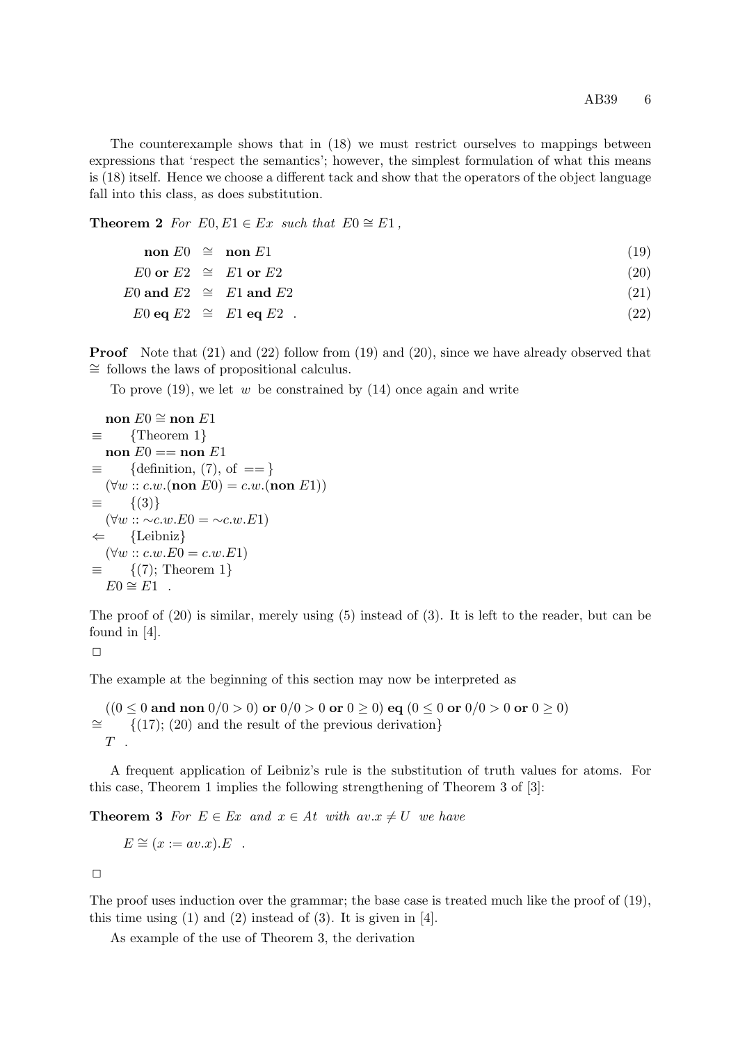The counterexample shows that in (18) we must restrict ourselves to mappings between expressions that 'respect the semantics'; however, the simplest formulation of what this means is (18) itself. Hence we choose a different tack and show that the operators of the object language fall into this class, as does substitution.

Theorem 2 For  $E0, E1 \in Ex$  such that  $E0 \cong E1$ ,

| non $E0 \cong$ non $E1$       |                                 | (19) |
|-------------------------------|---------------------------------|------|
| $E0$ or $E2 \cong E1$ or $E2$ |                                 | (20) |
|                               | $E0$ and $E2 \cong E1$ and $E2$ | (21) |
|                               | $E0$ eq $E2 \cong E1$ eq $E2$ . | (22) |

Proof Note that (21) and (22) follow from (19) and (20), since we have already observed that ∼= follows the laws of propositional calculus.

To prove  $(19)$ , we let w be constrained by  $(14)$  once again and write

$$
\text{non } E0 \cong \text{non } E1
$$
\n
$$
\equiv \{\text{Theorem 1}\}
$$
\n
$$
\text{non } E0 = \text{non } E1
$$
\n
$$
\equiv \{\text{definition}, (7), \text{ of } == \}
$$
\n
$$
(\forall w :: c.w. (\text{non } E0) = c.w. (\text{non } E1))
$$
\n
$$
\equiv \{(3)\}
$$
\n
$$
(\forall w :: c.c.w.E0 = \sim c.w.E1)
$$
\n
$$
\leftarrow \{\text{Leibniz}\}
$$
\n
$$
(\forall w :: c.w.E0 = c.w.E1)
$$
\n
$$
\equiv \{(7); \text{ Theorem 1}\}
$$
\n
$$
E0 \cong E1
$$

The proof of (20) is similar, merely using (5) instead of (3). It is left to the reader, but can be found in [4].

 $\Box$ 

The example at the beginning of this section may now be interpreted as

 $(0 < 0$  and non  $0/0 > 0$  or  $0/0 > 0$  or  $0 > 0$ ) eq  $(0 < 0$  or  $0/0 > 0$  or  $0 > 0)$  $\cong$  {(17); (20) and the result of the previous derivation}  $T$ .

A frequent application of Leibniz's rule is the substitution of truth values for atoms. For this case, Theorem 1 implies the following strengthening of Theorem 3 of [3]:

**Theorem 3** For  $E \in Ex$  and  $x \in At$  with  $av.x \neq U$  we have

$$
E \cong (x := av.x).E .
$$

 $\Box$ 

The proof uses induction over the grammar; the base case is treated much like the proof of (19), this time using  $(1)$  and  $(2)$  instead of  $(3)$ . It is given in [4].

As example of the use of Theorem 3, the derivation